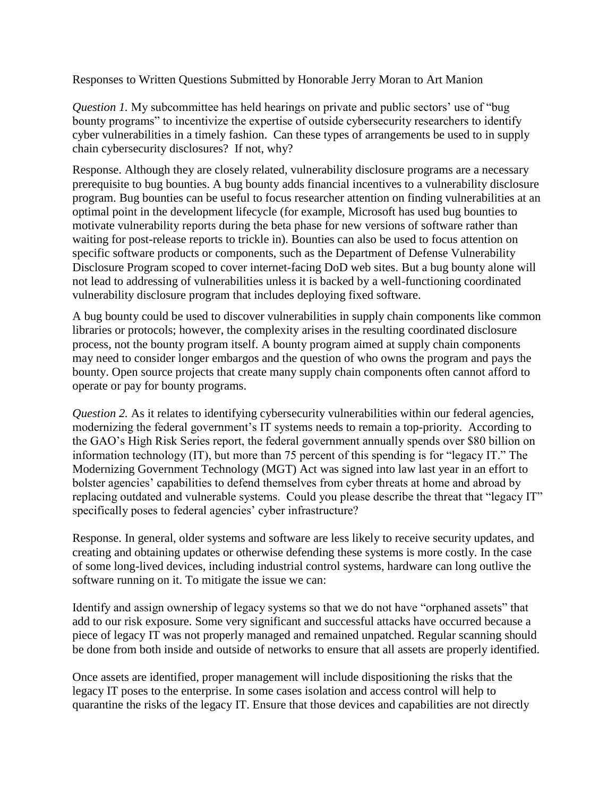Responses to Written Questions Submitted by Honorable Jerry Moran to Art Manion

*Question 1.* My subcommittee has held hearings on private and public sectors' use of "bug" bounty programs" to incentivize the expertise of outside cybersecurity researchers to identify cyber vulnerabilities in a timely fashion. Can these types of arrangements be used to in supply chain cybersecurity disclosures? If not, why?

Response. Although they are closely related, vulnerability disclosure programs are a necessary prerequisite to bug bounties. A bug bounty adds financial incentives to a vulnerability disclosure program. Bug bounties can be useful to focus researcher attention on finding vulnerabilities at an optimal point in the development lifecycle (for example, Microsoft has used bug bounties to motivate vulnerability reports during the beta phase for new versions of software rather than waiting for post-release reports to trickle in). Bounties can also be used to focus attention on specific software products or components, such as the Department of Defense Vulnerability Disclosure Program scoped to cover internet-facing DoD web sites. But a bug bounty alone will not lead to addressing of vulnerabilities unless it is backed by a well-functioning coordinated vulnerability disclosure program that includes deploying fixed software.

A bug bounty could be used to discover vulnerabilities in supply chain components like common libraries or protocols; however, the complexity arises in the resulting coordinated disclosure process, not the bounty program itself. A bounty program aimed at supply chain components may need to consider longer embargos and the question of who owns the program and pays the bounty. Open source projects that create many supply chain components often cannot afford to operate or pay for bounty programs.

*Question 2.* As it relates to identifying cybersecurity vulnerabilities within our federal agencies, modernizing the federal government's IT systems needs to remain a top-priority. According to the GAO's High Risk Series report, the federal government annually spends over \$80 billion on information technology (IT), but more than 75 percent of this spending is for "legacy IT." The Modernizing Government Technology (MGT) Act was signed into law last year in an effort to bolster agencies' capabilities to defend themselves from cyber threats at home and abroad by replacing outdated and vulnerable systems. Could you please describe the threat that "legacy IT" specifically poses to federal agencies' cyber infrastructure?

Response. In general, older systems and software are less likely to receive security updates, and creating and obtaining updates or otherwise defending these systems is more costly. In the case of some long-lived devices, including industrial control systems, hardware can long outlive the software running on it. To mitigate the issue we can:

Identify and assign ownership of legacy systems so that we do not have "orphaned assets" that add to our risk exposure. Some very significant and successful attacks have occurred because a piece of legacy IT was not properly managed and remained unpatched. Regular scanning should be done from both inside and outside of networks to ensure that all assets are properly identified.

Once assets are identified, proper management will include dispositioning the risks that the legacy IT poses to the enterprise. In some cases isolation and access control will help to quarantine the risks of the legacy IT. Ensure that those devices and capabilities are not directly